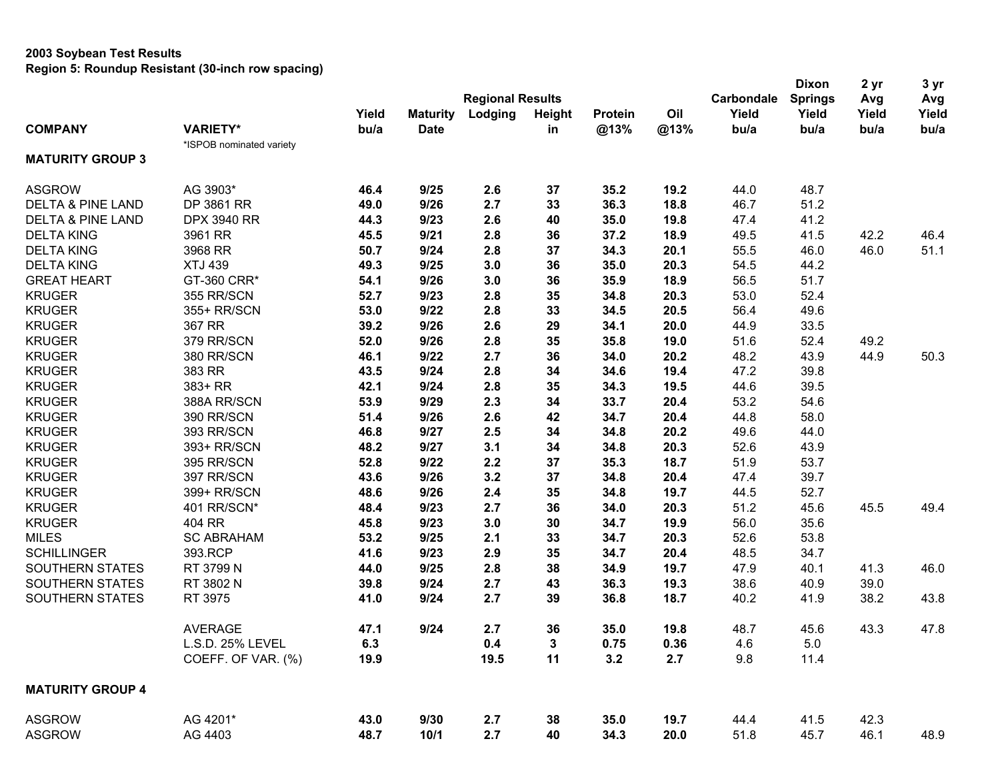## **2003 Soybean Test Results**

**Region 5: Roundup Resistant (30-inch row spacing)**

|                              |                          |       |                 |                         |        |         | <b>Dixon</b> | 2 <sub>yr</sub> | 3 yr           |       |       |
|------------------------------|--------------------------|-------|-----------------|-------------------------|--------|---------|--------------|-----------------|----------------|-------|-------|
|                              |                          |       |                 | <b>Regional Results</b> |        |         |              | Carbondale      | <b>Springs</b> | Avg   | Avg   |
|                              |                          | Yield | <b>Maturity</b> | Lodging                 | Height | Protein | Oil          | Yield           | Yield          | Yield | Yield |
| <b>COMPANY</b>               | <b>VARIETY*</b>          | bu/a  | <b>Date</b>     |                         | in     | @13%    | @13%         | bu/a            | bu/a           | bu/a  | bu/a  |
|                              | *ISPOB nominated variety |       |                 |                         |        |         |              |                 |                |       |       |
| <b>MATURITY GROUP 3</b>      |                          |       |                 |                         |        |         |              |                 |                |       |       |
| <b>ASGROW</b>                | AG 3903*                 | 46.4  | 9/25            | 2.6                     | 37     | 35.2    | 19.2         | 44.0            | 48.7           |       |       |
| <b>DELTA &amp; PINE LAND</b> | DP 3861 RR               | 49.0  | 9/26            | 2.7                     | 33     | 36.3    | 18.8         | 46.7            | 51.2           |       |       |
| <b>DELTA &amp; PINE LAND</b> | <b>DPX 3940 RR</b>       | 44.3  | 9/23            | 2.6                     | 40     | 35.0    | 19.8         | 47.4            | 41.2           |       |       |
| <b>DELTA KING</b>            | 3961 RR                  | 45.5  | 9/21            | 2.8                     | 36     | 37.2    | 18.9         | 49.5            | 41.5           | 42.2  | 46.4  |
| <b>DELTA KING</b>            | 3968 RR                  | 50.7  | 9/24            | 2.8                     | 37     | 34.3    | 20.1         | 55.5            | 46.0           | 46.0  | 51.1  |
| <b>DELTA KING</b>            | <b>XTJ 439</b>           | 49.3  | 9/25            | 3.0                     | 36     | 35.0    | 20.3         | 54.5            | 44.2           |       |       |
| <b>GREAT HEART</b>           | GT-360 CRR*              | 54.1  | 9/26            | 3.0                     | 36     | 35.9    | 18.9         | 56.5            | 51.7           |       |       |
| <b>KRUGER</b>                | 355 RR/SCN               | 52.7  | 9/23            | 2.8                     | 35     | 34.8    | 20.3         | 53.0            | 52.4           |       |       |
| <b>KRUGER</b>                | 355+ RR/SCN              | 53.0  | 9/22            | 2.8                     | 33     | 34.5    | 20.5         | 56.4            | 49.6           |       |       |
| <b>KRUGER</b>                | 367 RR                   | 39.2  | 9/26            | 2.6                     | 29     | 34.1    | 20.0         | 44.9            | 33.5           |       |       |
| <b>KRUGER</b>                | 379 RR/SCN               | 52.0  | 9/26            | 2.8                     | 35     | 35.8    | 19.0         | 51.6            | 52.4           | 49.2  |       |
| <b>KRUGER</b>                | 380 RR/SCN               | 46.1  | 9/22            | 2.7                     | 36     | 34.0    | 20.2         | 48.2            | 43.9           | 44.9  | 50.3  |
| <b>KRUGER</b>                | 383 RR                   | 43.5  | 9/24            | 2.8                     | 34     | 34.6    | 19.4         | 47.2            | 39.8           |       |       |
| <b>KRUGER</b>                | 383+ RR                  | 42.1  | 9/24            | 2.8                     | 35     | 34.3    | 19.5         | 44.6            | 39.5           |       |       |
| <b>KRUGER</b>                | 388A RR/SCN              | 53.9  | 9/29            | 2.3                     | 34     | 33.7    | 20.4         | 53.2            | 54.6           |       |       |
| <b>KRUGER</b>                | 390 RR/SCN               | 51.4  | 9/26            | 2.6                     | 42     | 34.7    | 20.4         | 44.8            | 58.0           |       |       |
| <b>KRUGER</b>                | 393 RR/SCN               | 46.8  | 9/27            | 2.5                     | 34     | 34.8    | 20.2         | 49.6            | 44.0           |       |       |
| <b>KRUGER</b>                | 393+ RR/SCN              | 48.2  | 9/27            | 3.1                     | 34     | 34.8    | 20.3         | 52.6            | 43.9           |       |       |
| <b>KRUGER</b>                | 395 RR/SCN               | 52.8  | 9/22            | 2.2                     | 37     | 35.3    | 18.7         | 51.9            | 53.7           |       |       |
| <b>KRUGER</b>                | 397 RR/SCN               | 43.6  | 9/26            | 3.2                     | 37     | 34.8    | 20.4         | 47.4            | 39.7           |       |       |
| <b>KRUGER</b>                | 399+ RR/SCN              | 48.6  | 9/26            | 2.4                     | 35     | 34.8    | 19.7         | 44.5            | 52.7           |       |       |
| <b>KRUGER</b>                | 401 RR/SCN*              | 48.4  | 9/23            | 2.7                     | 36     | 34.0    | 20.3         | 51.2            | 45.6           | 45.5  | 49.4  |
| <b>KRUGER</b>                | 404 RR                   | 45.8  | 9/23            | 3.0                     | 30     | 34.7    | 19.9         | 56.0            | 35.6           |       |       |
| <b>MILES</b>                 | <b>SC ABRAHAM</b>        | 53.2  | 9/25            | 2.1                     | 33     | 34.7    | 20.3         | 52.6            | 53.8           |       |       |
| <b>SCHILLINGER</b>           | 393.RCP                  | 41.6  | 9/23            | 2.9                     | 35     | 34.7    | 20.4         | 48.5            | 34.7           |       |       |
| SOUTHERN STATES              | RT 3799 N                | 44.0  | 9/25            | 2.8                     | 38     | 34.9    | 19.7         | 47.9            | 40.1           | 41.3  | 46.0  |
| SOUTHERN STATES              | RT 3802 N                | 39.8  | 9/24            | 2.7                     | 43     | 36.3    | 19.3         | 38.6            | 40.9           | 39.0  |       |
| SOUTHERN STATES              | RT 3975                  | 41.0  | 9/24            | 2.7                     | 39     | 36.8    | 18.7         | 40.2            | 41.9           | 38.2  | 43.8  |
|                              | <b>AVERAGE</b>           | 47.1  | 9/24            | 2.7                     | 36     | 35.0    | 19.8         | 48.7            | 45.6           | 43.3  | 47.8  |
|                              | L.S.D. 25% LEVEL         | 6.3   |                 | $0.4\,$                 | 3      | 0.75    | 0.36         | 4.6             | $5.0$          |       |       |
|                              | COEFF. OF VAR. (%)       | 19.9  |                 | 19.5                    | 11     | 3.2     | 2.7          | 9.8             | 11.4           |       |       |
| <b>MATURITY GROUP 4</b>      |                          |       |                 |                         |        |         |              |                 |                |       |       |
| <b>ASGROW</b>                | AG 4201*                 | 43.0  | 9/30            | 2.7                     | 38     | 35.0    | 19.7         | 44.4            | 41.5           | 42.3  |       |
| <b>ASGROW</b>                | AG 4403                  | 48.7  | 10/1            | 2.7                     | 40     | 34.3    | 20.0         | 51.8            | 45.7           | 46.1  | 48.9  |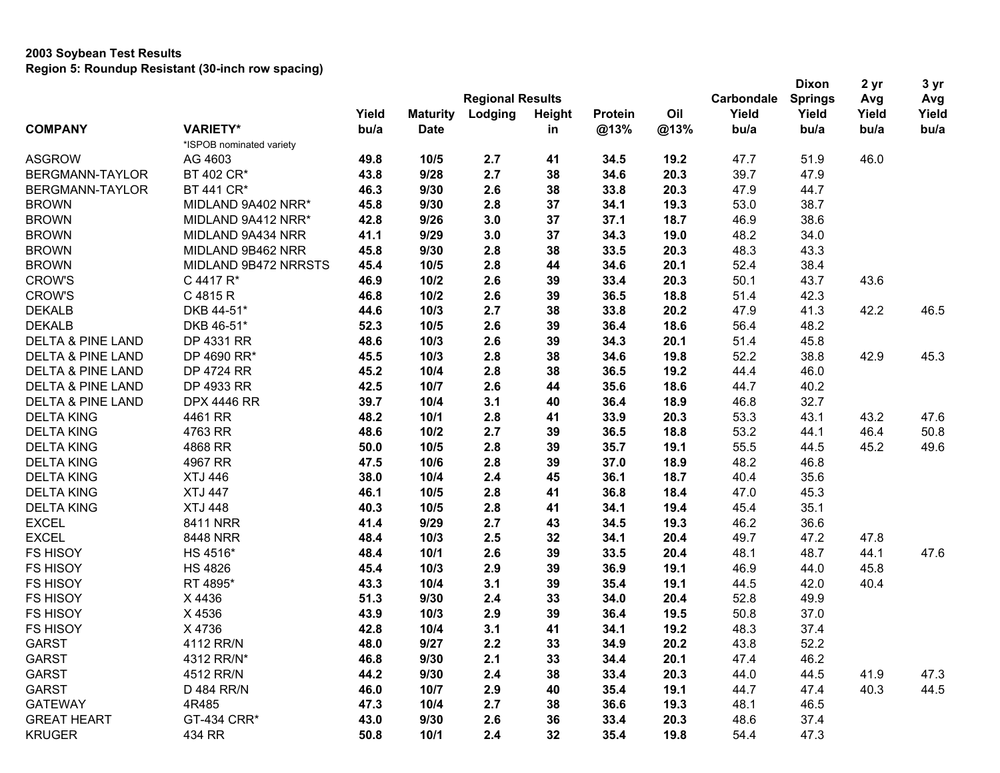## **2003 Soybean Test Results Region 5: Roundup Resistant (30-inch row spacing)**

|                              |                          |       |                 |                         |        |         |      | <b>Dixon</b> | 2 yr           | 3 yr  |       |
|------------------------------|--------------------------|-------|-----------------|-------------------------|--------|---------|------|--------------|----------------|-------|-------|
|                              |                          |       |                 | <b>Regional Results</b> |        |         |      | Carbondale   | <b>Springs</b> | Avg   | Avg   |
|                              |                          | Yield | <b>Maturity</b> | Lodging                 | Height | Protein | Oil  | Yield        | Yield          | Yield | Yield |
| <b>COMPANY</b>               | <b>VARIETY*</b>          | bu/a  | <b>Date</b>     |                         | in     | @13%    | @13% | bu/a         | bu/a           | bu/a  | bu/a  |
|                              | *ISPOB nominated variety |       |                 |                         |        |         |      |              |                |       |       |
| <b>ASGROW</b>                | AG 4603                  | 49.8  | 10/5            | 2.7                     | 41     | 34.5    | 19.2 | 47.7         | 51.9           | 46.0  |       |
| BERGMANN-TAYLOR              | BT 402 CR*               | 43.8  | 9/28            | 2.7                     | 38     | 34.6    | 20.3 | 39.7         | 47.9           |       |       |
| BERGMANN-TAYLOR              | BT 441 CR*               | 46.3  | 9/30            | 2.6                     | 38     | 33.8    | 20.3 | 47.9         | 44.7           |       |       |
| <b>BROWN</b>                 | MIDLAND 9A402 NRR*       | 45.8  | 9/30            | 2.8                     | 37     | 34.1    | 19.3 | 53.0         | 38.7           |       |       |
| <b>BROWN</b>                 | MIDLAND 9A412 NRR*       | 42.8  | 9/26            | 3.0                     | 37     | 37.1    | 18.7 | 46.9         | 38.6           |       |       |
| <b>BROWN</b>                 | MIDLAND 9A434 NRR        | 41.1  | 9/29            | 3.0                     | 37     | 34.3    | 19.0 | 48.2         | 34.0           |       |       |
| <b>BROWN</b>                 | MIDLAND 9B462 NRR        | 45.8  | 9/30            | 2.8                     | 38     | 33.5    | 20.3 | 48.3         | 43.3           |       |       |
| <b>BROWN</b>                 | MIDLAND 9B472 NRRSTS     | 45.4  | 10/5            | 2.8                     | 44     | 34.6    | 20.1 | 52.4         | 38.4           |       |       |
| <b>CROW'S</b>                | C 4417 R*                | 46.9  | 10/2            | 2.6                     | 39     | 33.4    | 20.3 | 50.1         | 43.7           | 43.6  |       |
| <b>CROW'S</b>                | C 4815 R                 | 46.8  | 10/2            | 2.6                     | 39     | 36.5    | 18.8 | 51.4         | 42.3           |       |       |
| <b>DEKALB</b>                | DKB 44-51*               | 44.6  | 10/3            | 2.7                     | 38     | 33.8    | 20.2 | 47.9         | 41.3           | 42.2  | 46.5  |
| <b>DEKALB</b>                | DKB 46-51*               | 52.3  | 10/5            | 2.6                     | 39     | 36.4    | 18.6 | 56.4         | 48.2           |       |       |
| <b>DELTA &amp; PINE LAND</b> | DP 4331 RR               | 48.6  | 10/3            | 2.6                     | 39     | 34.3    | 20.1 | 51.4         | 45.8           |       |       |
| DELTA & PINE LAND            | DP 4690 RR*              | 45.5  | 10/3            | 2.8                     | 38     | 34.6    | 19.8 | 52.2         | 38.8           | 42.9  | 45.3  |
| <b>DELTA &amp; PINE LAND</b> | DP 4724 RR               | 45.2  | 10/4            | 2.8                     | 38     | 36.5    | 19.2 | 44.4         | 46.0           |       |       |
| DELTA & PINE LAND            | DP 4933 RR               | 42.5  | 10/7            | 2.6                     | 44     | 35.6    | 18.6 | 44.7         | 40.2           |       |       |
| <b>DELTA &amp; PINE LAND</b> | <b>DPX 4446 RR</b>       | 39.7  | 10/4            | 3.1                     | 40     | 36.4    | 18.9 | 46.8         | 32.7           |       |       |
| <b>DELTA KING</b>            | 4461 RR                  | 48.2  | 10/1            | 2.8                     | 41     | 33.9    | 20.3 | 53.3         | 43.1           | 43.2  | 47.6  |
| <b>DELTA KING</b>            | 4763 RR                  | 48.6  | 10/2            | 2.7                     | 39     | 36.5    | 18.8 | 53.2         | 44.1           | 46.4  | 50.8  |
| <b>DELTA KING</b>            | 4868 RR                  | 50.0  | 10/5            | 2.8                     | 39     | 35.7    | 19.1 | 55.5         | 44.5           | 45.2  | 49.6  |
| <b>DELTA KING</b>            | 4967 RR                  | 47.5  | 10/6            | 2.8                     | 39     | 37.0    | 18.9 | 48.2         | 46.8           |       |       |
| <b>DELTA KING</b>            | <b>XTJ 446</b>           | 38.0  | 10/4            | 2.4                     | 45     | 36.1    | 18.7 | 40.4         | 35.6           |       |       |
| <b>DELTA KING</b>            | <b>XTJ 447</b>           | 46.1  | 10/5            | 2.8                     | 41     | 36.8    | 18.4 | 47.0         | 45.3           |       |       |
| <b>DELTA KING</b>            | <b>XTJ 448</b>           | 40.3  | 10/5            | 2.8                     | 41     | 34.1    | 19.4 | 45.4         | 35.1           |       |       |
| <b>EXCEL</b>                 | 8411 NRR                 | 41.4  | 9/29            | 2.7                     | 43     | 34.5    | 19.3 | 46.2         | 36.6           |       |       |
| <b>EXCEL</b>                 | 8448 NRR                 | 48.4  | 10/3            | 2.5                     | 32     | 34.1    | 20.4 | 49.7         | 47.2           | 47.8  |       |
| <b>FS HISOY</b>              | HS 4516*                 | 48.4  | 10/1            | 2.6                     | 39     | 33.5    | 20.4 | 48.1         | 48.7           | 44.1  | 47.6  |
| <b>FS HISOY</b>              | <b>HS 4826</b>           | 45.4  | 10/3            | 2.9                     | 39     | 36.9    | 19.1 | 46.9         | 44.0           | 45.8  |       |
| <b>FS HISOY</b>              | RT 4895*                 | 43.3  | 10/4            | 3.1                     | 39     | 35.4    | 19.1 | 44.5         | 42.0           | 40.4  |       |
| <b>FS HISOY</b>              | X 4436                   | 51.3  | 9/30            | 2.4                     | 33     | 34.0    | 20.4 | 52.8         | 49.9           |       |       |
| <b>FS HISOY</b>              | X 4536                   | 43.9  | 10/3            | 2.9                     | 39     | 36.4    | 19.5 | 50.8         | 37.0           |       |       |
| <b>FS HISOY</b>              | X 4736                   | 42.8  | 10/4            | 3.1                     | 41     | 34.1    | 19.2 | 48.3         | 37.4           |       |       |
| <b>GARST</b>                 | 4112 RR/N                | 48.0  | 9/27            | 2.2                     | 33     | 34.9    | 20.2 | 43.8         | 52.2           |       |       |
| <b>GARST</b>                 | 4312 RR/N*               | 46.8  | 9/30            | 2.1                     | 33     | 34.4    | 20.1 | 47.4         | 46.2           |       |       |
| <b>GARST</b>                 | 4512 RR/N                | 44.2  | 9/30            | 2.4                     | 38     | 33.4    | 20.3 | 44.0         | 44.5           | 41.9  | 47.3  |
| <b>GARST</b>                 | D 484 RR/N               | 46.0  | 10/7            | 2.9                     | 40     | 35.4    | 19.1 | 44.7         | 47.4           | 40.3  | 44.5  |
| <b>GATEWAY</b>               | 4R485                    | 47.3  | 10/4            | 2.7                     | 38     | 36.6    | 19.3 | 48.1         | 46.5           |       |       |
| <b>GREAT HEART</b>           | GT-434 CRR*              | 43.0  | 9/30            | 2.6                     | 36     | 33.4    | 20.3 | 48.6         | 37.4           |       |       |
| <b>KRUGER</b>                | 434 RR                   | 50.8  | 10/1            | 2.4                     | 32     | 35.4    | 19.8 | 54.4         | 47.3           |       |       |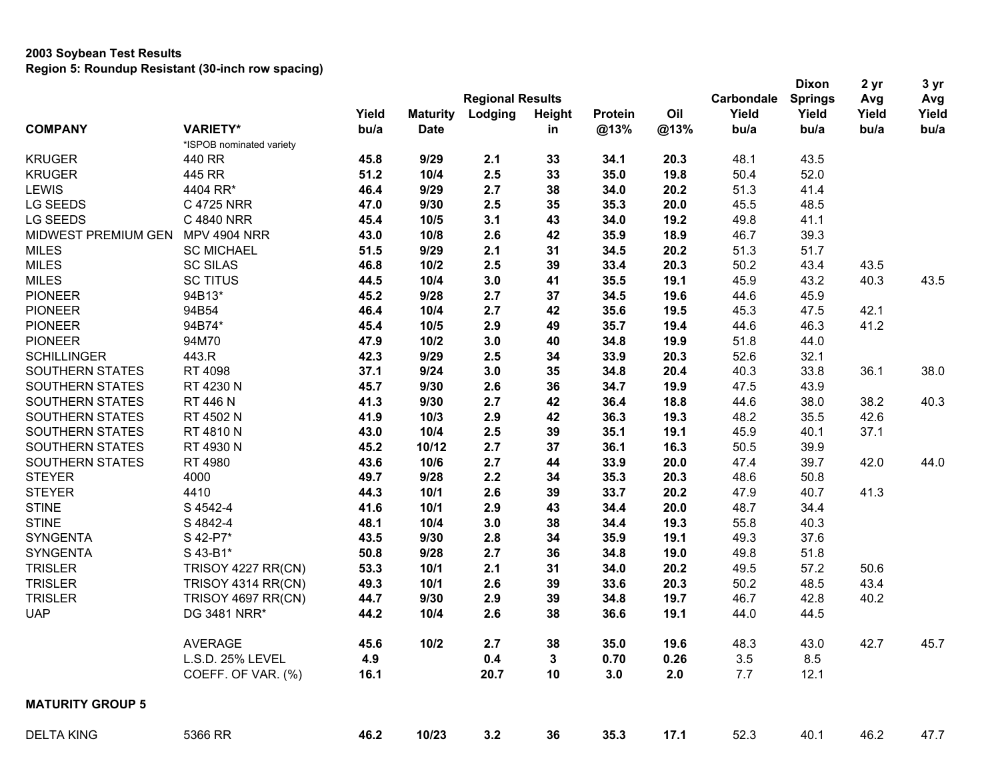## **2003 Soybean Test Results Region 5: Roundup Resistant (30-inch row spacing)**

|                         |                          |       |                 |                         |            | <b>Dixon</b> | 2 yr | 3 yr       |                |       |       |
|-------------------------|--------------------------|-------|-----------------|-------------------------|------------|--------------|------|------------|----------------|-------|-------|
|                         |                          |       |                 | <b>Regional Results</b> |            |              |      | Carbondale | <b>Springs</b> | Avg   | Avg   |
|                         |                          | Yield | <b>Maturity</b> | Lodging                 | Height     | Protein      | Oil  | Yield      | Yield          | Yield | Yield |
| <b>COMPANY</b>          | <b>VARIETY*</b>          | bu/a  | <b>Date</b>     |                         | in         | @13%         | @13% | bu/a       | bu/a           | bu/a  | bu/a  |
|                         | *ISPOB nominated variety |       |                 |                         |            |              |      |            |                |       |       |
| <b>KRUGER</b>           | 440 RR                   | 45.8  | 9/29            | 2.1                     | 33         | 34.1         | 20.3 | 48.1       | 43.5           |       |       |
| <b>KRUGER</b>           | 445 RR                   | 51.2  | 10/4            | 2.5                     | 33         | 35.0         | 19.8 | 50.4       | 52.0           |       |       |
| <b>LEWIS</b>            | 4404 RR*                 | 46.4  | 9/29            | 2.7                     | 38         | 34.0         | 20.2 | 51.3       | 41.4           |       |       |
| LG SEEDS                | C 4725 NRR               | 47.0  | 9/30            | 2.5                     | 35         | 35.3         | 20.0 | 45.5       | 48.5           |       |       |
| LG SEEDS                | C 4840 NRR               | 45.4  | 10/5            | 3.1                     | 43         | 34.0         | 19.2 | 49.8       | 41.1           |       |       |
| MIDWEST PREMIUM GEN     | <b>MPV 4904 NRR</b>      | 43.0  | 10/8            | 2.6                     | 42         | 35.9         | 18.9 | 46.7       | 39.3           |       |       |
| <b>MILES</b>            | <b>SC MICHAEL</b>        | 51.5  | 9/29            | 2.1                     | 31         | 34.5         | 20.2 | 51.3       | 51.7           |       |       |
| <b>MILES</b>            | <b>SC SILAS</b>          | 46.8  | 10/2            | 2.5                     | 39         | 33.4         | 20.3 | 50.2       | 43.4           | 43.5  |       |
| <b>MILES</b>            | <b>SC TITUS</b>          | 44.5  | 10/4            | 3.0                     | 41         | 35.5         | 19.1 | 45.9       | 43.2           | 40.3  | 43.5  |
| <b>PIONEER</b>          | 94B13*                   | 45.2  | 9/28            | 2.7                     | 37         | 34.5         | 19.6 | 44.6       | 45.9           |       |       |
| <b>PIONEER</b>          | 94B54                    | 46.4  | 10/4            | 2.7                     | 42         | 35.6         | 19.5 | 45.3       | 47.5           | 42.1  |       |
| <b>PIONEER</b>          | 94B74*                   | 45.4  | 10/5            | 2.9                     | 49         | 35.7         | 19.4 | 44.6       | 46.3           | 41.2  |       |
| <b>PIONEER</b>          | 94M70                    | 47.9  | 10/2            | 3.0                     | 40         | 34.8         | 19.9 | 51.8       | 44.0           |       |       |
| <b>SCHILLINGER</b>      | 443.R                    | 42.3  | 9/29            | 2.5                     | 34         | 33.9         | 20.3 | 52.6       | 32.1           |       |       |
| <b>SOUTHERN STATES</b>  | RT 4098                  | 37.1  | 9/24            | 3.0                     | 35         | 34.8         | 20.4 | 40.3       | 33.8           | 36.1  | 38.0  |
| <b>SOUTHERN STATES</b>  | RT 4230 N                | 45.7  | 9/30            | 2.6                     | 36         | 34.7         | 19.9 | 47.5       | 43.9           |       |       |
| SOUTHERN STATES         | RT 446 N                 | 41.3  | 9/30            | 2.7                     | 42         | 36.4         | 18.8 | 44.6       | 38.0           | 38.2  | 40.3  |
| <b>SOUTHERN STATES</b>  | RT 4502 N                | 41.9  | 10/3            | 2.9                     | 42         | 36.3         | 19.3 | 48.2       | 35.5           | 42.6  |       |
| SOUTHERN STATES         | RT 4810 N                | 43.0  | 10/4            | 2.5                     | 39         | 35.1         | 19.1 | 45.9       | 40.1           | 37.1  |       |
| <b>SOUTHERN STATES</b>  | RT 4930 N                | 45.2  | 10/12           | 2.7                     | 37         | 36.1         | 16.3 | 50.5       | 39.9           |       |       |
| SOUTHERN STATES         | RT 4980                  | 43.6  | 10/6            | 2.7                     | 44         | 33.9         | 20.0 | 47.4       | 39.7           | 42.0  | 44.0  |
| <b>STEYER</b>           | 4000                     | 49.7  | 9/28            | 2.2                     | 34         | 35.3         | 20.3 | 48.6       | 50.8           |       |       |
| <b>STEYER</b>           | 4410                     | 44.3  | 10/1            | 2.6                     | 39         | 33.7         | 20.2 | 47.9       | 40.7           | 41.3  |       |
| <b>STINE</b>            | S 4542-4                 | 41.6  | 10/1            | 2.9                     | 43         | 34.4         | 20.0 | 48.7       | 34.4           |       |       |
| <b>STINE</b>            | S 4842-4                 | 48.1  | 10/4            | 3.0                     | 38         | 34.4         | 19.3 | 55.8       | 40.3           |       |       |
| <b>SYNGENTA</b>         | S 42-P7*                 | 43.5  | 9/30            | 2.8                     | 34         | 35.9         | 19.1 | 49.3       | 37.6           |       |       |
| <b>SYNGENTA</b>         | S 43-B1*                 | 50.8  | 9/28            | 2.7                     | 36         | 34.8         | 19.0 | 49.8       | 51.8           |       |       |
| <b>TRISLER</b>          | TRISOY 4227 RR(CN)       | 53.3  | 10/1            | 2.1                     | 31         | 34.0         | 20.2 | 49.5       | 57.2           | 50.6  |       |
| <b>TRISLER</b>          | TRISOY 4314 RR(CN)       | 49.3  | 10/1            | 2.6                     | 39         | 33.6         | 20.3 | 50.2       | 48.5           | 43.4  |       |
| <b>TRISLER</b>          | TRISOY 4697 RR(CN)       | 44.7  | 9/30            | 2.9                     | 39         | 34.8         | 19.7 | 46.7       | 42.8           | 40.2  |       |
| <b>UAP</b>              | DG 3481 NRR*             | 44.2  | 10/4            | 2.6                     | 38         | 36.6         | 19.1 | 44.0       | 44.5           |       |       |
|                         |                          |       |                 |                         |            |              |      |            |                |       |       |
|                         | <b>AVERAGE</b>           | 45.6  | 10/2            | 2.7                     | ${\bf 38}$ | 35.0         | 19.6 | 48.3       | 43.0           | 42.7  | 45.7  |
|                         | L.S.D. 25% LEVEL         | 4.9   |                 | 0.4                     | 3          | 0.70         | 0.26 | 3.5        | 8.5            |       |       |
|                         | COEFF. OF VAR. (%)       | 16.1  |                 | 20.7                    | 10         | 3.0          | 2.0  | 7.7        | 12.1           |       |       |
| <b>MATURITY GROUP 5</b> |                          |       |                 |                         |            |              |      |            |                |       |       |
| <b>DELTA KING</b>       | 5366 RR                  | 46.2  | 10/23           | 3.2                     | 36         | 35.3         | 17.1 | 52.3       | 40.1           | 46.2  | 47.7  |